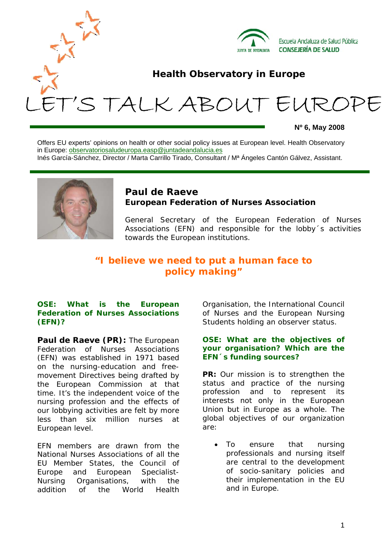

**Nº 6, May 2008** 

Offers EU experts' opinions on health or other social policy issues at European level. Health Observatory in Europe: observatoriosaludeuropa.easp@juntadeandalucia.es Inés García-Sánchez, Director / Marta Carrillo Tirado, Consultant / Mª Ángeles Cantón Gálvez, Assistant.



# **Paul de Raeve European Federation of Nurses Association**

General Secretary of the European Federation of Nurses Associations (EFN) and responsible for the lobby´s activities towards the European institutions.

# **"I believe we need to put a human face to policy making"**

# **OSE: What is the European Federation of Nurses Associations (EFN)?**

**Paul de Raeve (PR):** The European Federation of Nurses Associations (EFN) was established in 1971 based on the nursing-education and freemovement Directives being drafted by the European Commission at that time. It's the independent voice of the nursing profession and the effects of our lobbying activities are felt by more less than six million nurses at European level.

EFN members are drawn from the National Nurses Associations of all the EU Member States, the Council of Europe and European Specialist-Nursing Organisations, with the addition of the World Health Organisation, the International Council of Nurses and the European Nursing Students holding an observer status.

### **OSE: What are the objectives of your organisation? Which are the EFN´s funding sources?**

**PR:** Our mission is to strengthen the status and practice of the nursing profession and to represent its interests not only in the European Union but in Europe as a whole. The global objectives of our organization are:

To ensure that nursing professionals and nursing itself are central to the development of socio-sanitary policies and their implementation in the EU and in Europe.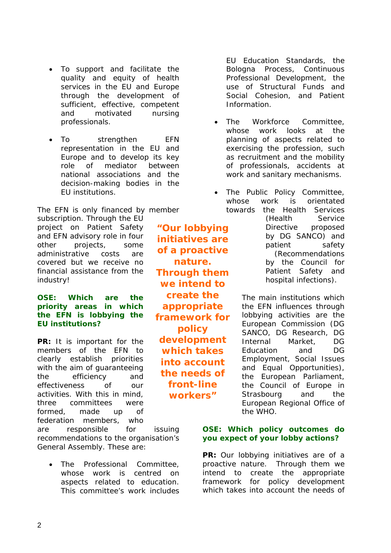- To support and facilitate the quality and equity of health services in the EU and Europe through the development of sufficient, effective, competent and motivated nursing professionals.
- To strengthen EFN representation in the EU and Europe and to develop its key role of mediator between national associations and the decision-making bodies in the EU institutions.

The EFN is only financed by member subscription. Through the EU project on Patient Safety and EFN advisory role in four other projects, some administrative costs are covered but we receive no financial assistance from the industry!

# **OSE: Which are the priority areas in which the EFN is lobbying the EU institutions?**

**PR:** It is important for the members of the EFN to clearly establish priorities with the aim of guaranteeing the efficiency and effectiveness of our activities. With this in mind, three committees were formed, made up of federation members, who

are responsible for issuing recommendations to the organisation's General Assembly. These are:

The Professional Committee, whose work is centred on aspects related to education. This committee's work includes

**"Our lobbying initiatives are of a proactive nature. Through them we intend to create the appropriate framework for policy development which takes into account the needs of front-line workers"** 

EU Education Standards, the Bologna Process, Continuous Professional Development, the use of Structural Funds and Social Cohesion, and Patient Information.

- The Workforce Committee, whose work looks at the planning of aspects related to exercising the profession, such as recruitment and the mobility of professionals, accidents at work and sanitary mechanisms.
- The Public Policy Committee, whose work is orientated towards the Health Services

(Health Service Directive proposed by DG SANCO) and patient safety (Recommendations by the Council for Patient Safety and hospital infections).

The main institutions which the EFN influences through lobbying activities are the European Commission (DG SANCO, DG Research, DG Internal Market, DG Education and DG Employment, Social Issues and Equal Opportunities), the European Parliament, the Council of Europe in Strasbourg and the European Regional Office of the WHO.

# **OSE: Which policy outcomes do you expect of your lobby actions?**

**PR:** Our lobbying initiatives are of a proactive nature. Through them we intend to create the appropriate framework for policy development which takes into account the needs of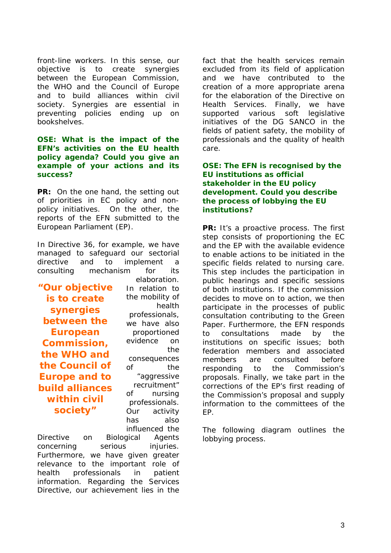front-line workers. In this sense, our objective is to create synergies between the European Commission, the WHO and the Council of Europe and to build alliances within civil society. Synergies are essential in preventing policies ending up on bookshelves.

#### **OSE: What is the impact of the EFN's activities on the EU health policy agenda? Could you give an example of your actions and its success?**

**PR:** On the one hand, the setting out of priorities in EC policy and nonpolicy initiatives. On the other, the reports of the EFN submitted to the European Parliament (EP).

In Directive 36, for example, we have managed to safeguard our sectorial directive and to implement a consulting mechanism for its

**"Our objective is to create synergies between the European Commission, the WHO and the Council of Europe and to build alliances within civil society"** 

elaboration. In relation to the mobility of health professionals, we have also proportioned evidence on the consequences of the "aggressive recruitment" of nursing professionals. Our activity has also influenced the

Directive on Biological Agents concerning serious injuries. Furthermore, we have given greater relevance to the important role of health professionals in patient information. Regarding the Services Directive, our achievement lies in the

fact that the health services remain excluded from its field of application and we have contributed to the creation of a more appropriate arena for the elaboration of the Directive on Health Services. Finally, we have supported various soft legislative initiatives of the DG SANCO in the fields of patient safety, the mobility of professionals and the quality of health care.

# **OSE: The EFN is recognised by the EU institutions as official stakeholder in the EU policy development. Could you describe the process of lobbying the EU institutions?**

**PR:** It's a proactive process. The first step consists of proportioning the EC and the EP with the available evidence to enable actions to be initiated in the specific fields related to nursing care. This step includes the participation in public hearings and specific sessions of both institutions. If the commission decides to move on to action, we then participate in the processes of public consultation contributing to the Green Paper. Furthermore, the EFN responds to consultations made by the institutions on specific issues; both federation members and associated members are consulted before responding to the Commission's proposals. Finally, we take part in the corrections of the EP's first reading of the Commission's proposal and supply information to the committees of the EP.

The following diagram outlines the lobbying process.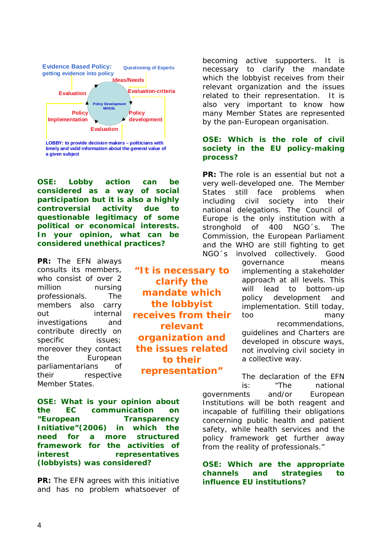

**a given subject**

**OSE: Lobby action can be considered as a way of social participation but it is also a highly controversial activity due to questionable legitimacy of some political or economical interests. In your opinion, what can be considered unethical practices?** 

**PR:** The EFN always consults its members, who consist of over 2 million nursing professionals. The members also carry out internal investigations and contribute directly on specific issues; moreover they contact the European parliamentarians of their respective Member States.

**"It is necessary to clarify the mandate which the lobbyist receives from their relevant organization and the issues related to their representation"**

**OSE: What is your opinion about the EC communication on "European Transparency Initiative"(2006) in which the need for a more structured framework for the activities of interest representatives (lobbyists) was considered?** 

**PR:** The EFN agrees with this initiative and has no problem whatsoever of

becoming active supporters. It is necessary to clarify the mandate which the lobbyist receives from their relevant organization and the issues related to their representation. It is also very important to know how many Member States are represented by the pan-European organisation.

## **OSE: Which is the role of civil society in the EU policy-making process?**

**PR:** The role is an essential but not a very well-developed one. The Member States still face problems when including civil society into their national delegations. The Council of Europe is the only institution with a stronghold of 400 NGO´s. The Commission, the European Parliament and the WHO are still fighting to get NGO´s involved collectively. Good

governance means implementing a stakeholder approach at all levels. This will lead to bottom-up policy development and implementation. Still today, too many recommendations,

guidelines and Charters are developed in obscure ways, not involving civil society in a collective way.

The declaration of the EFN is: "The national governments and/or European Institutions will be both reagent and incapable of fulfilling their obligations concerning public health and patient safety, while health services and the policy framework get further away from the reality of professionals."

**OSE: Which are the appropriate channels and strategies to influence EU institutions?**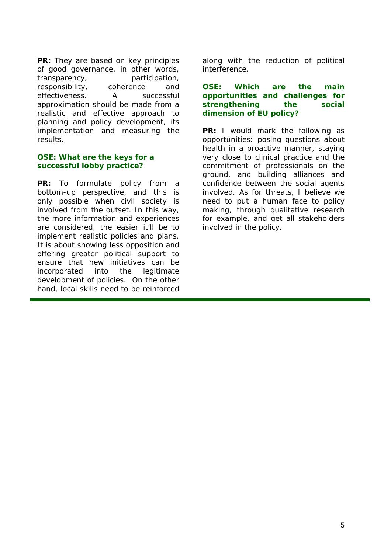**PR:** They are based on key principles of good governance, in other words, transparency, participation, responsibility, coherence and effectiveness. A successful approximation should be made from a realistic and effective approach to planning and policy development, its implementation and measuring the results.

# **OSE: What are the keys for a successful lobby practice?**

**PR:** To formulate policy from a bottom-up perspective, and this is only possible when civil society is involved from the outset. In this way, the more information and experiences are considered, the easier it'll be to implement realistic policies and plans. It is about showing less opposition and offering greater political support to ensure that new initiatives can be incorporated into the legitimate development of policies. On the other hand, local skills need to be reinforced along with the reduction of political interference.

#### **OSE: Which are the main opportunities and challenges for strengthening the social dimension of EU policy?**

**PR:** I would mark the following as opportunities: posing questions about health in a proactive manner, staying very close to clinical practice and the commitment of professionals on the ground, and building alliances and confidence between the social agents involved. As for threats, I believe we need to put a human face to policy making, through qualitative research for example, and get all stakeholders involved in the policy.